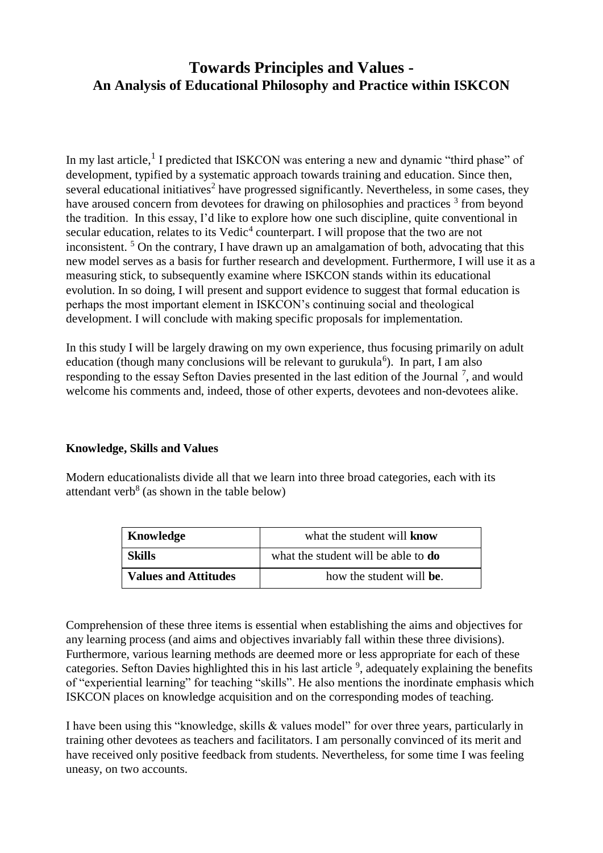# **Towards Principles and Values - An Analysis of Educational Philosophy and Practice within ISKCON**

In my last article,<sup>1</sup> I predicted that ISKCON was entering a new and dynamic "third phase" of development, typified by a systematic approach towards training and education. Since then, several educational initiatives<sup>2</sup> have progressed significantly. Nevertheless, in some cases, they have aroused concern from devotees for drawing on philosophies and practices <sup>3</sup> from beyond the tradition. In this essay, I'd like to explore how one such discipline, quite conventional in secular education, relates to its  $V$ edic<sup>4</sup> counterpart. I will propose that the two are not inconsistent.  $5$  On the contrary, I have drawn up an amalgamation of both, advocating that this new model serves as a basis for further research and development. Furthermore, I will use it as a measuring stick, to subsequently examine where ISKCON stands within its educational evolution. In so doing, I will present and support evidence to suggest that formal education is perhaps the most important element in ISKCON's continuing social and theological development. I will conclude with making specific proposals for implementation.

In this study I will be largely drawing on my own experience, thus focusing primarily on adult education (though many conclusions will be relevant to gurukula<sup>6</sup>). In part, I am also responding to the essay Sefton Davies presented in the last edition of the Journal  $^7$ , and would welcome his comments and, indeed, those of other experts, devotees and non-devotees alike.

#### **Knowledge, Skills and Values**

Modern educationalists divide all that we learn into three broad categories, each with its attendant verb<sup>8</sup> (as shown in the table below)

| Knowledge                   | what the student will <b>know</b>          |
|-----------------------------|--------------------------------------------|
| Skills                      | what the student will be able to <b>do</b> |
| <b>Values and Attitudes</b> | how the student will be.                   |

Comprehension of these three items is essential when establishing the aims and objectives for any learning process (and aims and objectives invariably fall within these three divisions). Furthermore, various learning methods are deemed more or less appropriate for each of these categories. Sefton Davies highlighted this in his last article  $9$ , adequately explaining the benefits of "experiential learning" for teaching "skills". He also mentions the inordinate emphasis which ISKCON places on knowledge acquisition and on the corresponding modes of teaching.

I have been using this "knowledge, skills & values model" for over three years, particularly in training other devotees as teachers and facilitators. I am personally convinced of its merit and have received only positive feedback from students. Nevertheless, for some time I was feeling uneasy, on two accounts.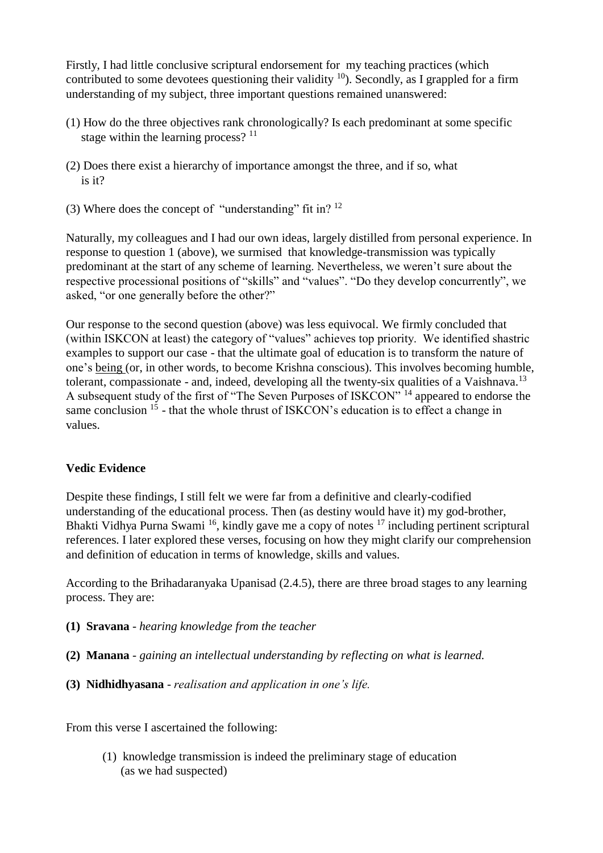Firstly, I had little conclusive scriptural endorsement for my teaching practices (which contributed to some devotees questioning their validity  $10$ ). Secondly, as I grappled for a firm understanding of my subject, three important questions remained unanswered:

- (1) How do the three objectives rank chronologically? Is each predominant at some specific stage within the learning process?  $11$
- (2) Does there exist a hierarchy of importance amongst the three, and if so, what is it?
- (3) Where does the concept of "understanding" fit in?  $12$

Naturally, my colleagues and I had our own ideas, largely distilled from personal experience. In response to question 1 (above), we surmised that knowledge-transmission was typically predominant at the start of any scheme of learning. Nevertheless, we weren't sure about the respective processional positions of "skills" and "values". "Do they develop concurrently", we asked, "or one generally before the other?"

Our response to the second question (above) was less equivocal. We firmly concluded that (within ISKCON at least) the category of "values" achieves top priority. We identified shastric examples to support our case - that the ultimate goal of education is to transform the nature of one's being (or, in other words, to become Krishna conscious). This involves becoming humble, tolerant, compassionate - and, indeed, developing all the twenty-six qualities of a Vaishnava.<sup>13</sup> A subsequent study of the first of "The Seven Purposes of ISKCON" <sup>14</sup> appeared to endorse the same conclusion <sup>15</sup> - that the whole thrust of ISKCON's education is to effect a change in values.

#### **Vedic Evidence**

Despite these findings, I still felt we were far from a definitive and clearly-codified understanding of the educational process. Then (as destiny would have it) my god-brother, Bhakti Vidhya Purna Swami <sup>16</sup>, kindly gave me a copy of notes <sup>17</sup> including pertinent scriptural references. I later explored these verses, focusing on how they might clarify our comprehension and definition of education in terms of knowledge, skills and values.

According to the Brihadaranyaka Upanisad (2.4.5), there are three broad stages to any learning process. They are:

- **(1) Sravana** *hearing knowledge from the teacher*
- **(2) Manana** *- gaining an intellectual understanding by reflecting on what is learned.*
- **(3) Nidhidhyasana**  *realisation and application in one's life.*

From this verse I ascertained the following:

(1) knowledge transmission is indeed the preliminary stage of education (as we had suspected)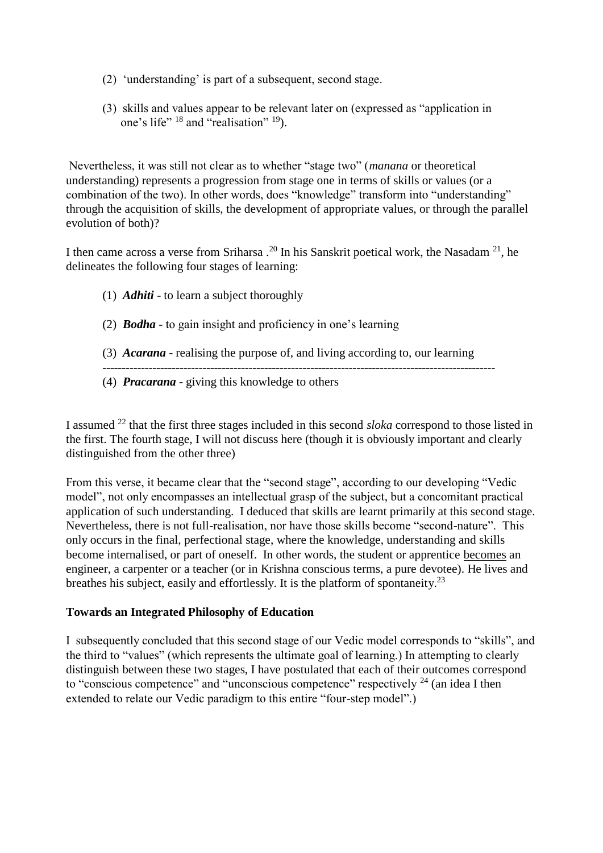- (2) 'understanding' is part of a subsequent, second stage.
- (3) skills and values appear to be relevant later on (expressed as "application in one's life" <sup>18</sup> and "realisation" <sup>19</sup>).

Nevertheless, it was still not clear as to whether "stage two" (*manana* or theoretical understanding) represents a progression from stage one in terms of skills or values (or a combination of the two). In other words, does "knowledge" transform into "understanding" through the acquisition of skills, the development of appropriate values, or through the parallel evolution of both)?

I then came across a verse from Sriharsa .<sup>20</sup> In his Sanskrit poetical work, the Nasadam <sup>21</sup>, he delineates the following four stages of learning:

- (1) *Adhiti* to learn a subject thoroughly
- (2) *Bodha* to gain insight and proficiency in one's learning
- (3) *Acarana* realising the purpose of, and living according to, our learning
- ------------------------------------------------------------------------------------------------------
- (4) *Pracarana* giving this knowledge to others

I assumed <sup>22</sup> that the first three stages included in this second *sloka* correspond to those listed in the first. The fourth stage, I will not discuss here (though it is obviously important and clearly distinguished from the other three)

From this verse, it became clear that the "second stage", according to our developing "Vedic model", not only encompasses an intellectual grasp of the subject, but a concomitant practical application of such understanding. I deduced that skills are learnt primarily at this second stage. Nevertheless, there is not full-realisation, nor have those skills become "second-nature". This only occurs in the final, perfectional stage, where the knowledge, understanding and skills become internalised, or part of oneself. In other words, the student or apprentice becomes an engineer, a carpenter or a teacher (or in Krishna conscious terms, a pure devotee). He lives and breathes his subject, easily and effortlessly. It is the platform of spontaneity.<sup>23</sup>

#### **Towards an Integrated Philosophy of Education**

I subsequently concluded that this second stage of our Vedic model corresponds to "skills", and the third to "values" (which represents the ultimate goal of learning.) In attempting to clearly distinguish between these two stages, I have postulated that each of their outcomes correspond to "conscious competence" and "unconscious competence" respectively  $^{24}$  (an idea I then extended to relate our Vedic paradigm to this entire "four-step model".)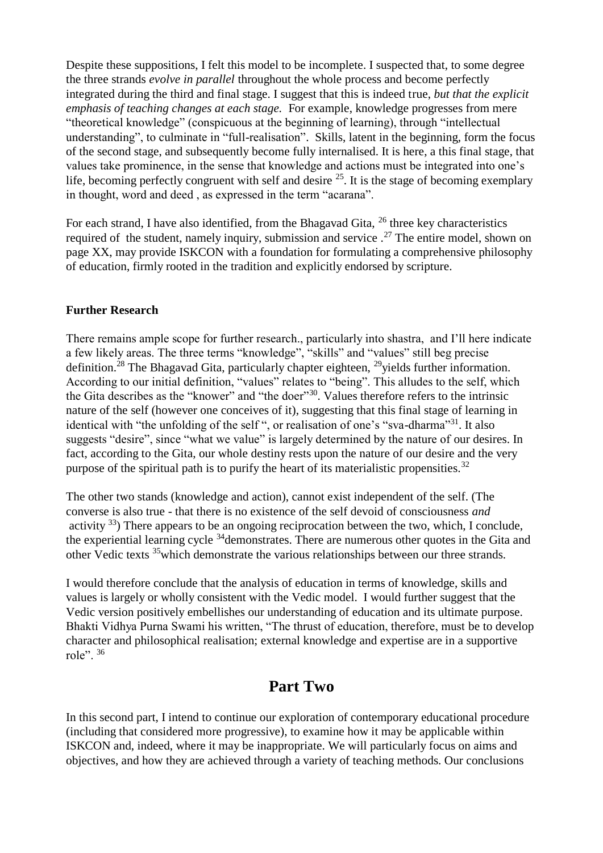Despite these suppositions, I felt this model to be incomplete. I suspected that, to some degree the three strands *evolve in parallel* throughout the whole process and become perfectly integrated during the third and final stage. I suggest that this is indeed true, *but that the explicit emphasis of teaching changes at each stage.* For example, knowledge progresses from mere "theoretical knowledge" (conspicuous at the beginning of learning), through "intellectual understanding", to culminate in "full-realisation". Skills, latent in the beginning, form the focus of the second stage, and subsequently become fully internalised. It is here, a this final stage, that values take prominence, in the sense that knowledge and actions must be integrated into one's life, becoming perfectly congruent with self and desire  $^{25}$ . It is the stage of becoming exemplary in thought, word and deed , as expressed in the term "acarana".

For each strand, I have also identified, from the Bhagavad Gita,  $^{26}$  three key characteristics required of the student, namely inquiry, submission and service  $.27$  The entire model, shown on page XX, may provide ISKCON with a foundation for formulating a comprehensive philosophy of education, firmly rooted in the tradition and explicitly endorsed by scripture.

#### **Further Research**

There remains ample scope for further research., particularly into shastra, and I'll here indicate a few likely areas. The three terms "knowledge", "skills" and "values" still beg precise definition.<sup>28</sup> The Bhagavad Gita, particularly chapter eighteen, <sup>29</sup>yields further information. According to our initial definition, "values" relates to "being". This alludes to the self, which the Gita describes as the "knower" and "the doer"<sup>30</sup>. Values therefore refers to the intrinsic nature of the self (however one conceives of it), suggesting that this final stage of learning in identical with "the unfolding of the self", or realisation of one's "sva-dharma"<sup>31</sup>. It also suggests "desire", since "what we value" is largely determined by the nature of our desires. In fact, according to the Gita, our whole destiny rests upon the nature of our desire and the very purpose of the spiritual path is to purify the heart of its materialistic propensities.<sup>32</sup>

The other two stands (knowledge and action), cannot exist independent of the self. (The converse is also true - that there is no existence of the self devoid of consciousness *and* activity  $^{33}$ ) There appears to be an ongoing reciprocation between the two, which, I conclude, the experiential learning cycle  $34$  demonstrates. There are numerous other quotes in the Gita and other Vedic texts <sup>35</sup>which demonstrate the various relationships between our three strands.

I would therefore conclude that the analysis of education in terms of knowledge, skills and values is largely or wholly consistent with the Vedic model. I would further suggest that the Vedic version positively embellishes our understanding of education and its ultimate purpose. Bhakti Vidhya Purna Swami his written, "The thrust of education, therefore, must be to develop character and philosophical realisation; external knowledge and expertise are in a supportive role". <sup>36</sup>

# **Part Two**

In this second part, I intend to continue our exploration of contemporary educational procedure (including that considered more progressive), to examine how it may be applicable within ISKCON and, indeed, where it may be inappropriate. We will particularly focus on aims and objectives, and how they are achieved through a variety of teaching methods. Our conclusions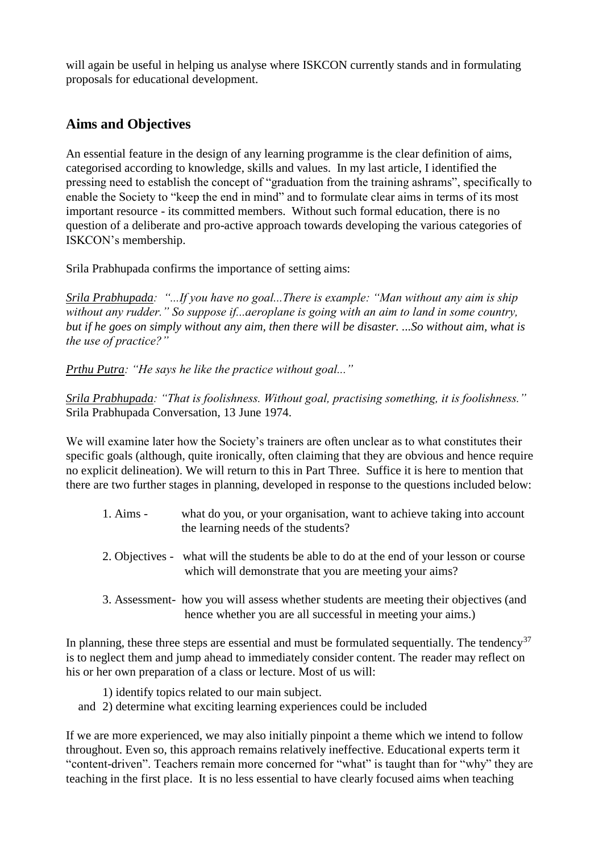will again be useful in helping us analyse where ISKCON currently stands and in formulating proposals for educational development.

## **Aims and Objectives**

An essential feature in the design of any learning programme is the clear definition of aims, categorised according to knowledge, skills and values. In my last article, I identified the pressing need to establish the concept of "graduation from the training ashrams", specifically to enable the Society to "keep the end in mind" and to formulate clear aims in terms of its most important resource - its committed members. Without such formal education, there is no question of a deliberate and pro-active approach towards developing the various categories of ISKCON's membership.

Srila Prabhupada confirms the importance of setting aims:

*Srila Prabhupada: "...If you have no goal...There is example: "Man without any aim is ship without any rudder." So suppose if...aeroplane is going with an aim to land in some country, but if he goes on simply without any aim, then there will be disaster. ...So without aim, what is the use of practice?"*

*Prthu Putra: "He says he like the practice without goal..."*

*Srila Prabhupada: "That is foolishness. Without goal, practising something, it is foolishness."* Srila Prabhupada Conversation, 13 June 1974.

We will examine later how the Society's trainers are often unclear as to what constitutes their specific goals (although, quite ironically, often claiming that they are obvious and hence require no explicit delineation). We will return to this in Part Three. Suffice it is here to mention that there are two further stages in planning, developed in response to the questions included below:

- 1. Aims what do you, or your organisation, want to achieve taking into account the learning needs of the students?
- 2. Objectives what will the students be able to do at the end of your lesson or course which will demonstrate that you are meeting your aims?
- 3. Assessment- how you will assess whether students are meeting their objectives (and hence whether you are all successful in meeting your aims.)

In planning, these three steps are essential and must be formulated sequentially. The tendency<sup>37</sup> is to neglect them and jump ahead to immediately consider content. The reader may reflect on his or her own preparation of a class or lecture. Most of us will:

1) identify topics related to our main subject.

and 2) determine what exciting learning experiences could be included

If we are more experienced, we may also initially pinpoint a theme which we intend to follow throughout. Even so, this approach remains relatively ineffective. Educational experts term it "content-driven". Teachers remain more concerned for "what" is taught than for "why" they are teaching in the first place. It is no less essential to have clearly focused aims when teaching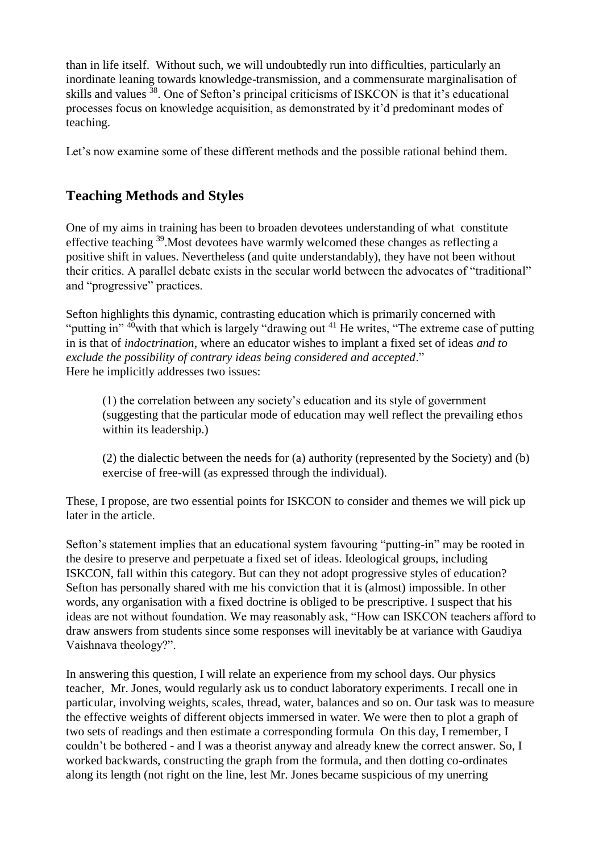than in life itself. Without such, we will undoubtedly run into difficulties, particularly an inordinate leaning towards knowledge-transmission, and a commensurate marginalisation of skills and values <sup>38</sup>. One of Sefton's principal criticisms of ISKCON is that it's educational processes focus on knowledge acquisition, as demonstrated by it'd predominant modes of teaching.

Let's now examine some of these different methods and the possible rational behind them.

## **Teaching Methods and Styles**

One of my aims in training has been to broaden devotees understanding of what constitute effective teaching <sup>39</sup>.Most devotees have warmly welcomed these changes as reflecting a positive shift in values. Nevertheless (and quite understandably), they have not been without their critics. A parallel debate exists in the secular world between the advocates of "traditional" and "progressive" practices.

Sefton highlights this dynamic, contrasting education which is primarily concerned with "putting in"  $40$  with that which is largely "drawing out  $41$  He writes, "The extreme case of putting in is that of *indoctrination*, where an educator wishes to implant a fixed set of ideas *and to exclude the possibility of contrary ideas being considered and accepted*." Here he implicitly addresses two issues:

(1) the correlation between any society's education and its style of government (suggesting that the particular mode of education may well reflect the prevailing ethos within its leadership.)

(2) the dialectic between the needs for (a) authority (represented by the Society) and (b) exercise of free-will (as expressed through the individual).

These, I propose, are two essential points for ISKCON to consider and themes we will pick up later in the article.

Sefton's statement implies that an educational system favouring "putting-in" may be rooted in the desire to preserve and perpetuate a fixed set of ideas. Ideological groups, including ISKCON, fall within this category. But can they not adopt progressive styles of education? Sefton has personally shared with me his conviction that it is (almost) impossible. In other words, any organisation with a fixed doctrine is obliged to be prescriptive. I suspect that his ideas are not without foundation. We may reasonably ask, "How can ISKCON teachers afford to draw answers from students since some responses will inevitably be at variance with Gaudiya Vaishnava theology?".

In answering this question, I will relate an experience from my school days. Our physics teacher, Mr. Jones, would regularly ask us to conduct laboratory experiments. I recall one in particular, involving weights, scales, thread, water, balances and so on. Our task was to measure the effective weights of different objects immersed in water. We were then to plot a graph of two sets of readings and then estimate a corresponding formula On this day, I remember, I couldn't be bothered - and I was a theorist anyway and already knew the correct answer. So, I worked backwards, constructing the graph from the formula, and then dotting co-ordinates along its length (not right on the line, lest Mr. Jones became suspicious of my unerring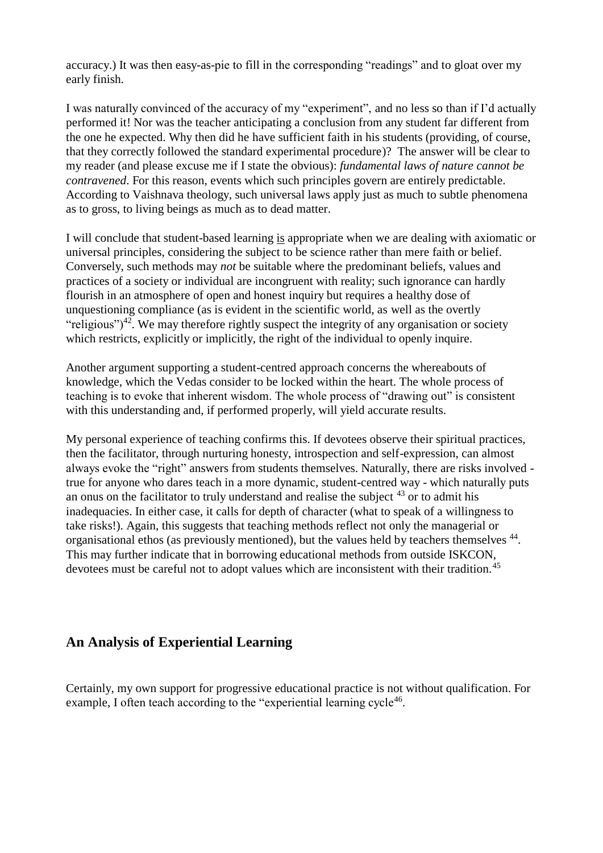accuracy.) It was then easy-as-pie to fill in the corresponding "readings" and to gloat over my early finish.

I was naturally convinced of the accuracy of my "experiment", and no less so than if I'd actually performed it! Nor was the teacher anticipating a conclusion from any student far different from the one he expected. Why then did he have sufficient faith in his students (providing, of course, that they correctly followed the standard experimental procedure)? The answer will be clear to my reader (and please excuse me if I state the obvious): *fundamental laws of nature cannot be contravened*. For this reason, events which such principles govern are entirely predictable. According to Vaishnava theology, such universal laws apply just as much to subtle phenomena as to gross, to living beings as much as to dead matter.

I will conclude that student-based learning is appropriate when we are dealing with axiomatic or universal principles, considering the subject to be science rather than mere faith or belief. Conversely, such methods may *not* be suitable where the predominant beliefs, values and practices of a society or individual are incongruent with reality; such ignorance can hardly flourish in an atmosphere of open and honest inquiry but requires a healthy dose of unquestioning compliance (as is evident in the scientific world, as well as the overtly "religious")<sup>42</sup>. We may therefore rightly suspect the integrity of any organisation or society which restricts, explicitly or implicitly, the right of the individual to openly inquire.

Another argument supporting a student-centred approach concerns the whereabouts of knowledge, which the Vedas consider to be locked within the heart. The whole process of teaching is to evoke that inherent wisdom. The whole process of "drawing out" is consistent with this understanding and, if performed properly, will yield accurate results.

My personal experience of teaching confirms this. If devotees observe their spiritual practices, then the facilitator, through nurturing honesty, introspection and self-expression, can almost always evoke the "right" answers from students themselves. Naturally, there are risks involved true for anyone who dares teach in a more dynamic, student-centred way - which naturally puts an onus on the facilitator to truly understand and realise the subject  $43$  or to admit his inadequacies. In either case, it calls for depth of character (what to speak of a willingness to take risks!). Again, this suggests that teaching methods reflect not only the managerial or organisational ethos (as previously mentioned), but the values held by teachers themselves <sup>44</sup>. This may further indicate that in borrowing educational methods from outside ISKCON, devotees must be careful not to adopt values which are inconsistent with their tradition.<sup>45</sup>

## **An Analysis of Experiential Learning**

Certainly, my own support for progressive educational practice is not without qualification. For example, I often teach according to the "experiential learning cycle<sup>46</sup>.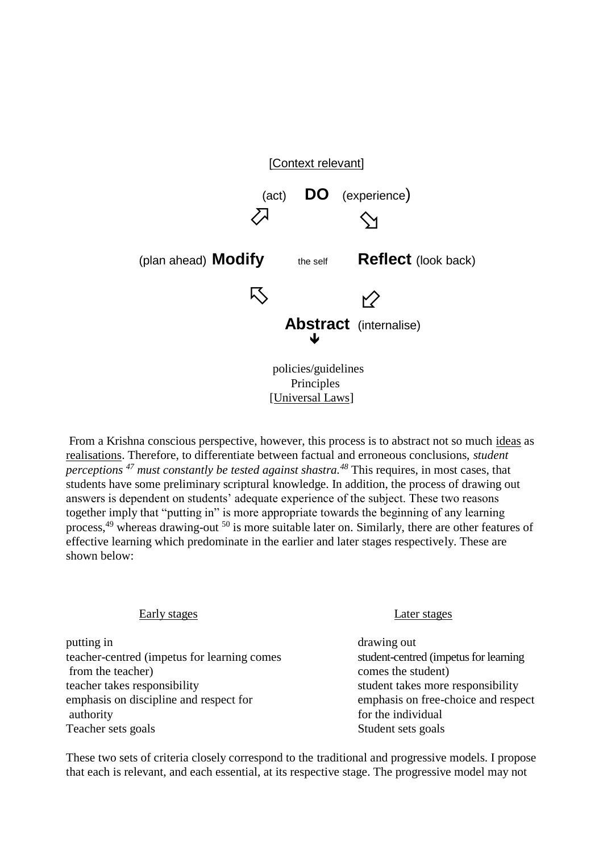

From a Krishna conscious perspective, however, this process is to abstract not so much ideas as realisations. Therefore, to differentiate between factual and erroneous conclusions, *student perceptions <sup>47</sup> must constantly be tested against shastra.<sup>48</sup>* This requires, in most cases, that students have some preliminary scriptural knowledge. In addition, the process of drawing out answers is dependent on students' adequate experience of the subject. These two reasons together imply that "putting in" is more appropriate towards the beginning of any learning process,<sup>49</sup> whereas drawing-out <sup>50</sup> is more suitable later on. Similarly, there are other features of effective learning which predominate in the earlier and later stages respectively. These are shown below:

#### Early stages Later stages

putting in drawing out teacher-centred (impetus for learning comes student-centred (impetus for learning from the teacher) comes the student) teacher takes responsibility student takes more responsibility emphasis on discipline and respect for emphasis on free-choice and respect authority authority for the individual Teacher sets goals Student sets goals

These two sets of criteria closely correspond to the traditional and progressive models. I propose that each is relevant, and each essential, at its respective stage. The progressive model may not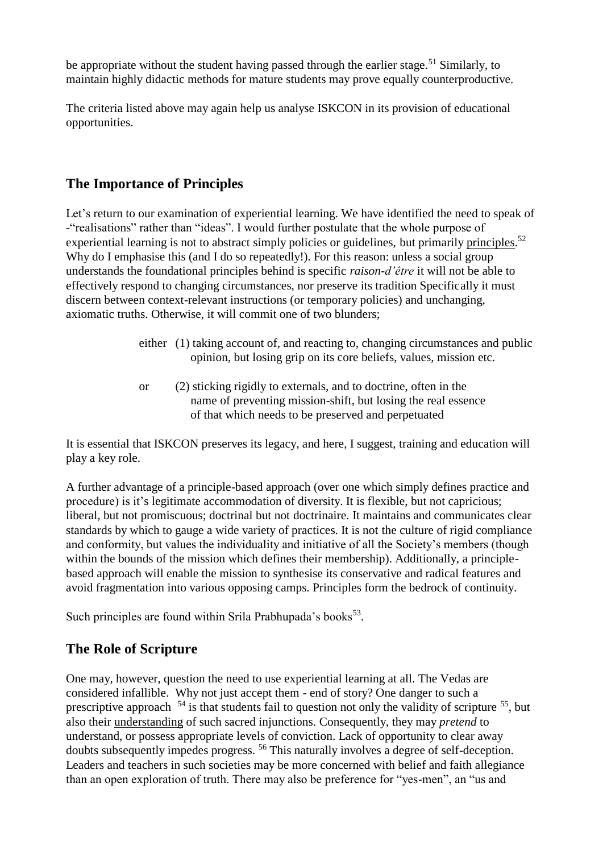be appropriate without the student having passed through the earlier stage.<sup>51</sup> Similarly, to maintain highly didactic methods for mature students may prove equally counterproductive.

The criteria listed above may again help us analyse ISKCON in its provision of educational opportunities.

## **The Importance of Principles**

Let's return to our examination of experiential learning. We have identified the need to speak of -"realisations" rather than "ideas". I would further postulate that the whole purpose of experiential learning is not to abstract simply policies or guidelines, but primarily principles.<sup>52</sup> Why do I emphasise this (and I do so repeatedly!). For this reason: unless a social group understands the foundational principles behind is specific *raison-d'être* it will not be able to effectively respond to changing circumstances, nor preserve its tradition Specifically it must discern between context-relevant instructions (or temporary policies) and unchanging, axiomatic truths. Otherwise, it will commit one of two blunders;

- either (1) taking account of, and reacting to, changing circumstances and public opinion, but losing grip on its core beliefs, values, mission etc.
- or (2) sticking rigidly to externals, and to doctrine, often in the name of preventing mission-shift, but losing the real essence of that which needs to be preserved and perpetuated

It is essential that ISKCON preserves its legacy, and here, I suggest, training and education will play a key role.

A further advantage of a principle-based approach (over one which simply defines practice and procedure) is it's legitimate accommodation of diversity. It is flexible, but not capricious; liberal, but not promiscuous; doctrinal but not doctrinaire. It maintains and communicates clear standards by which to gauge a wide variety of practices. It is not the culture of rigid compliance and conformity, but values the individuality and initiative of all the Society's members (though within the bounds of the mission which defines their membership). Additionally, a principlebased approach will enable the mission to synthesise its conservative and radical features and avoid fragmentation into various opposing camps. Principles form the bedrock of continuity.

Such principles are found within Srila Prabhupada's books<sup>53</sup>.

# **The Role of Scripture**

One may, however, question the need to use experiential learning at all. The Vedas are considered infallible. Why not just accept them - end of story? One danger to such a prescriptive approach  $54$  is that students fail to question not only the validity of scripture  $55$ , but also their understanding of such sacred injunctions. Consequently, they may *pretend* to understand, or possess appropriate levels of conviction. Lack of opportunity to clear away doubts subsequently impedes progress. <sup>56</sup> This naturally involves a degree of self-deception. Leaders and teachers in such societies may be more concerned with belief and faith allegiance than an open exploration of truth. There may also be preference for "yes-men", an "us and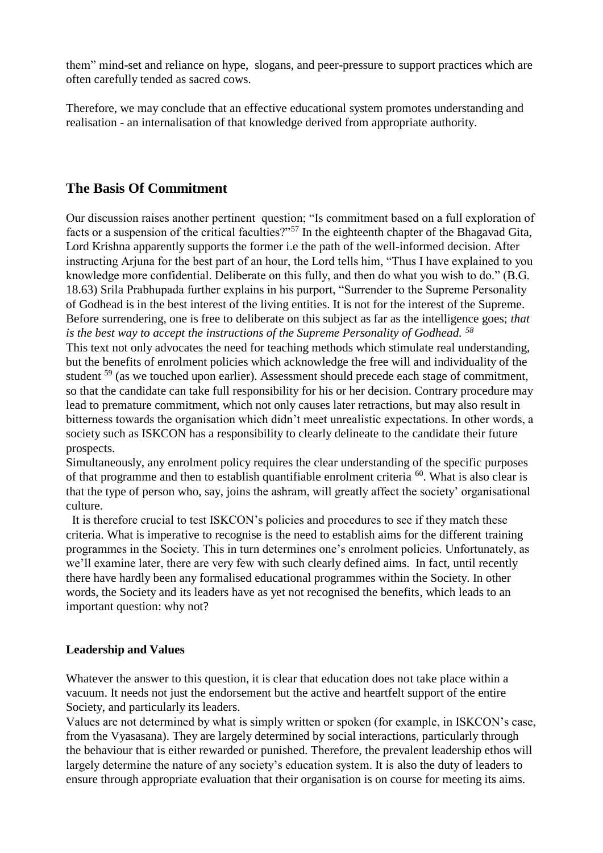them" mind-set and reliance on hype, slogans, and peer-pressure to support practices which are often carefully tended as sacred cows.

Therefore, we may conclude that an effective educational system promotes understanding and realisation - an internalisation of that knowledge derived from appropriate authority.

## **The Basis Of Commitment**

Our discussion raises another pertinent question; "Is commitment based on a full exploration of facts or a suspension of the critical faculties?"<sup>57</sup> In the eighteenth chapter of the Bhagavad Gita, Lord Krishna apparently supports the former i.e the path of the well-informed decision. After instructing Arjuna for the best part of an hour, the Lord tells him, "Thus I have explained to you knowledge more confidential. Deliberate on this fully, and then do what you wish to do." (B.G. 18.63) Srila Prabhupada further explains in his purport, "Surrender to the Supreme Personality of Godhead is in the best interest of the living entities. It is not for the interest of the Supreme. Before surrendering, one is free to deliberate on this subject as far as the intelligence goes; *that is the best way to accept the instructions of the Supreme Personality of Godhead. <sup>58</sup>*

This text not only advocates the need for teaching methods which stimulate real understanding, but the benefits of enrolment policies which acknowledge the free will and individuality of the student <sup>59</sup> (as we touched upon earlier). Assessment should precede each stage of commitment, so that the candidate can take full responsibility for his or her decision. Contrary procedure may lead to premature commitment, which not only causes later retractions, but may also result in bitterness towards the organisation which didn't meet unrealistic expectations. In other words, a society such as ISKCON has a responsibility to clearly delineate to the candidate their future prospects.

Simultaneously, any enrolment policy requires the clear understanding of the specific purposes of that programme and then to establish quantifiable enrolment criteria  $^{60}$ . What is also clear is that the type of person who, say, joins the ashram, will greatly affect the society' organisational culture.

 It is therefore crucial to test ISKCON's policies and procedures to see if they match these criteria. What is imperative to recognise is the need to establish aims for the different training programmes in the Society. This in turn determines one's enrolment policies. Unfortunately, as we'll examine later, there are very few with such clearly defined aims. In fact, until recently there have hardly been any formalised educational programmes within the Society. In other words, the Society and its leaders have as yet not recognised the benefits, which leads to an important question: why not?

## **Leadership and Values**

Whatever the answer to this question, it is clear that education does not take place within a vacuum. It needs not just the endorsement but the active and heartfelt support of the entire Society, and particularly its leaders.

Values are not determined by what is simply written or spoken (for example, in ISKCON's case, from the Vyasasana). They are largely determined by social interactions, particularly through the behaviour that is either rewarded or punished. Therefore, the prevalent leadership ethos will largely determine the nature of any society's education system. It is also the duty of leaders to ensure through appropriate evaluation that their organisation is on course for meeting its aims.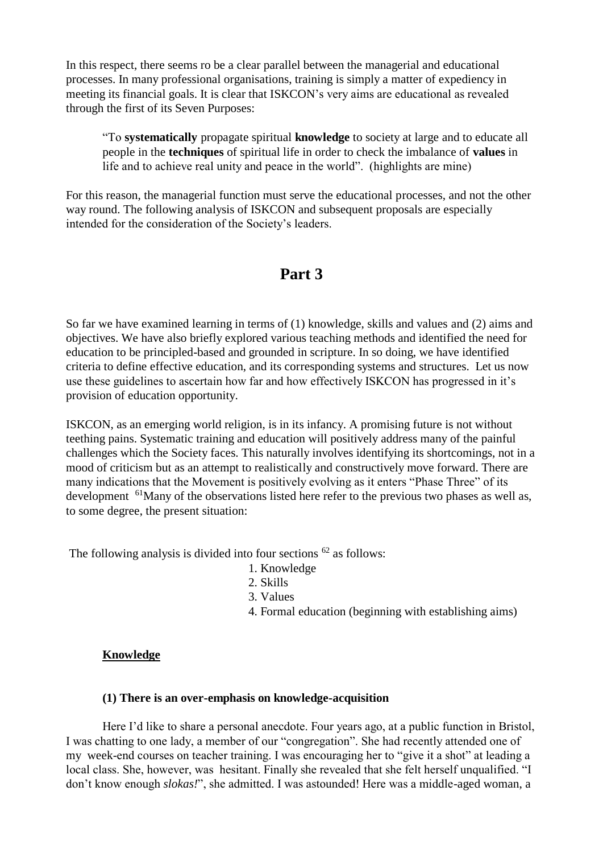In this respect, there seems ro be a clear parallel between the managerial and educational processes. In many professional organisations, training is simply a matter of expediency in meeting its financial goals. It is clear that ISKCON's very aims are educational as revealed through the first of its Seven Purposes:

"To **systematically** propagate spiritual **knowledge** to society at large and to educate all people in the **techniques** of spiritual life in order to check the imbalance of **values** in life and to achieve real unity and peace in the world". (highlights are mine)

For this reason, the managerial function must serve the educational processes, and not the other way round. The following analysis of ISKCON and subsequent proposals are especially intended for the consideration of the Society's leaders.

# **Part 3**

So far we have examined learning in terms of (1) knowledge, skills and values and (2) aims and objectives. We have also briefly explored various teaching methods and identified the need for education to be principled-based and grounded in scripture. In so doing, we have identified criteria to define effective education, and its corresponding systems and structures. Let us now use these guidelines to ascertain how far and how effectively ISKCON has progressed in it's provision of education opportunity.

ISKCON, as an emerging world religion, is in its infancy. A promising future is not without teething pains. Systematic training and education will positively address many of the painful challenges which the Society faces. This naturally involves identifying its shortcomings, not in a mood of criticism but as an attempt to realistically and constructively move forward. There are many indications that the Movement is positively evolving as it enters "Phase Three" of its development <sup>61</sup>Many of the observations listed here refer to the previous two phases as well as, to some degree, the present situation:

The following analysis is divided into four sections  $62$  as follows:

- 1. Knowledge
- 2. Skills
- 3. Values
- 4. Formal education (beginning with establishing aims)

#### **Knowledge**

#### **(1) There is an over-emphasis on knowledge-acquisition**

Here I'd like to share a personal anecdote. Four years ago, at a public function in Bristol, I was chatting to one lady, a member of our "congregation". She had recently attended one of my week-end courses on teacher training. I was encouraging her to "give it a shot" at leading a local class. She, however, was hesitant. Finally she revealed that she felt herself unqualified. "I don't know enough *slokas!*", she admitted. I was astounded! Here was a middle-aged woman, a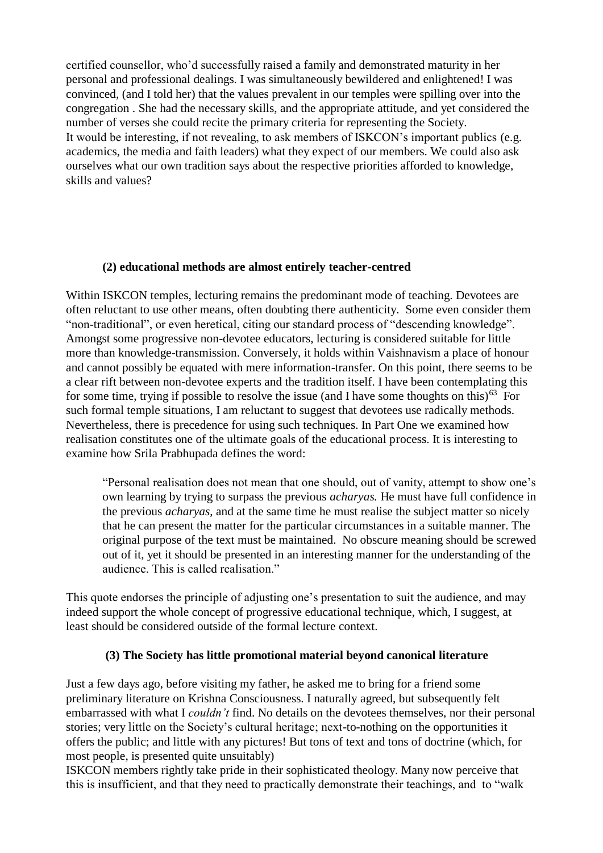certified counsellor, who'd successfully raised a family and demonstrated maturity in her personal and professional dealings. I was simultaneously bewildered and enlightened! I was convinced, (and I told her) that the values prevalent in our temples were spilling over into the congregation . She had the necessary skills, and the appropriate attitude, and yet considered the number of verses she could recite the primary criteria for representing the Society. It would be interesting, if not revealing, to ask members of ISKCON's important publics (e.g. academics, the media and faith leaders) what they expect of our members. We could also ask ourselves what our own tradition says about the respective priorities afforded to knowledge, skills and values?

#### **(2) educational methods are almost entirely teacher-centred**

Within ISKCON temples, lecturing remains the predominant mode of teaching. Devotees are often reluctant to use other means, often doubting there authenticity. Some even consider them "non-traditional", or even heretical, citing our standard process of "descending knowledge". Amongst some progressive non-devotee educators, lecturing is considered suitable for little more than knowledge-transmission. Conversely, it holds within Vaishnavism a place of honour and cannot possibly be equated with mere information-transfer. On this point, there seems to be a clear rift between non-devotee experts and the tradition itself. I have been contemplating this for some time, trying if possible to resolve the issue (and I have some thoughts on this) $^{63}$  For such formal temple situations, I am reluctant to suggest that devotees use radically methods. Nevertheless, there is precedence for using such techniques. In Part One we examined how realisation constitutes one of the ultimate goals of the educational process. It is interesting to examine how Srila Prabhupada defines the word:

"Personal realisation does not mean that one should, out of vanity, attempt to show one's own learning by trying to surpass the previous *acharyas.* He must have full confidence in the previous *acharyas*, and at the same time he must realise the subject matter so nicely that he can present the matter for the particular circumstances in a suitable manner. The original purpose of the text must be maintained. No obscure meaning should be screwed out of it, yet it should be presented in an interesting manner for the understanding of the audience. This is called realisation."

This quote endorses the principle of adjusting one's presentation to suit the audience, and may indeed support the whole concept of progressive educational technique, which, I suggest, at least should be considered outside of the formal lecture context.

#### **(3) The Society has little promotional material beyond canonical literature**

Just a few days ago, before visiting my father, he asked me to bring for a friend some preliminary literature on Krishna Consciousness. I naturally agreed, but subsequently felt embarrassed with what I *couldn't* find. No details on the devotees themselves, nor their personal stories; very little on the Society's cultural heritage; next-to-nothing on the opportunities it offers the public; and little with any pictures! But tons of text and tons of doctrine (which, for most people, is presented quite unsuitably)

ISKCON members rightly take pride in their sophisticated theology. Many now perceive that this is insufficient, and that they need to practically demonstrate their teachings, and to "walk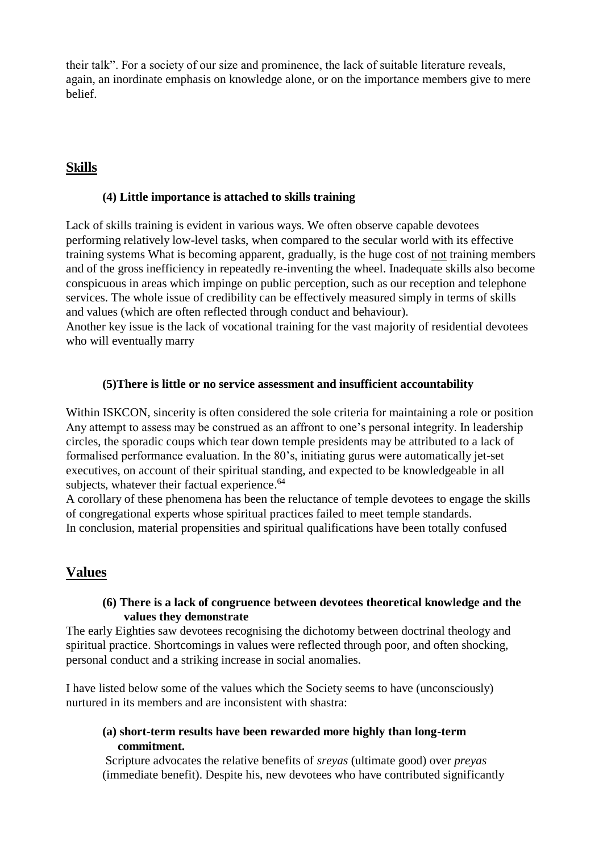their talk". For a society of our size and prominence, the lack of suitable literature reveals, again, an inordinate emphasis on knowledge alone, or on the importance members give to mere belief.

## **Skills**

#### **(4) Little importance is attached to skills training**

Lack of skills training is evident in various ways. We often observe capable devotees performing relatively low-level tasks, when compared to the secular world with its effective training systems What is becoming apparent, gradually, is the huge cost of not training members and of the gross inefficiency in repeatedly re-inventing the wheel. Inadequate skills also become conspicuous in areas which impinge on public perception, such as our reception and telephone services. The whole issue of credibility can be effectively measured simply in terms of skills and values (which are often reflected through conduct and behaviour).

Another key issue is the lack of vocational training for the vast majority of residential devotees who will eventually marry

#### **(5)There is little or no service assessment and insufficient accountability**

Within ISKCON, sincerity is often considered the sole criteria for maintaining a role or position Any attempt to assess may be construed as an affront to one's personal integrity. In leadership circles, the sporadic coups which tear down temple presidents may be attributed to a lack of formalised performance evaluation. In the 80's, initiating gurus were automatically jet-set executives, on account of their spiritual standing, and expected to be knowledgeable in all subjects, whatever their factual experience.<sup>64</sup>

A corollary of these phenomena has been the reluctance of temple devotees to engage the skills of congregational experts whose spiritual practices failed to meet temple standards. In conclusion, material propensities and spiritual qualifications have been totally confused

## **Values**

#### **(6) There is a lack of congruence between devotees theoretical knowledge and the values they demonstrate**

The early Eighties saw devotees recognising the dichotomy between doctrinal theology and spiritual practice. Shortcomings in values were reflected through poor, and often shocking, personal conduct and a striking increase in social anomalies.

I have listed below some of the values which the Society seems to have (unconsciously) nurtured in its members and are inconsistent with shastra:

#### **(a) short-term results have been rewarded more highly than long-term commitment.**

Scripture advocates the relative benefits of *sreyas* (ultimate good) over *preyas*  (immediate benefit). Despite his, new devotees who have contributed significantly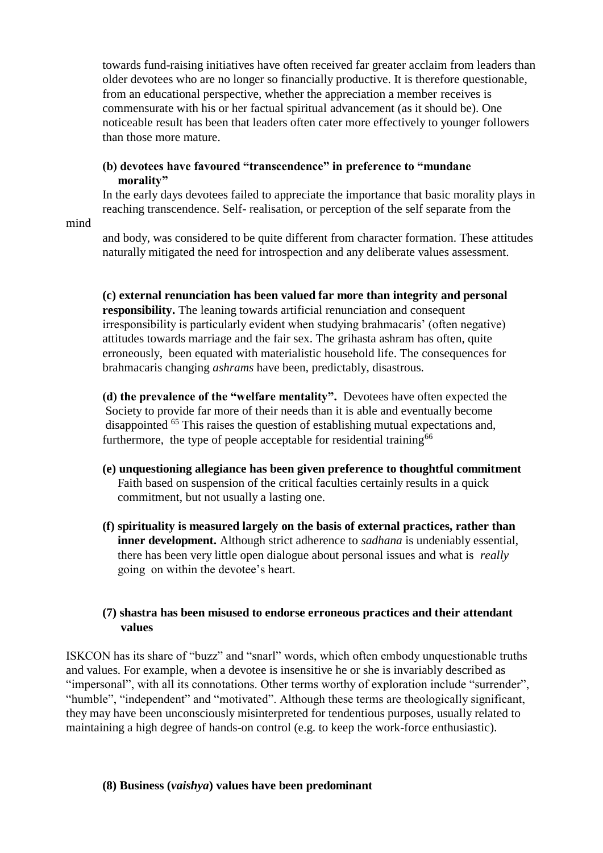towards fund-raising initiatives have often received far greater acclaim from leaders than older devotees who are no longer so financially productive. It is therefore questionable, from an educational perspective, whether the appreciation a member receives is commensurate with his or her factual spiritual advancement (as it should be). One noticeable result has been that leaders often cater more effectively to younger followers than those more mature.

#### **(b) devotees have favoured "transcendence" in preference to "mundane morality"**

In the early days devotees failed to appreciate the importance that basic morality plays in reaching transcendence. Self- realisation, or perception of the self separate from the

mind

and body, was considered to be quite different from character formation. These attitudes naturally mitigated the need for introspection and any deliberate values assessment.

**(c) external renunciation has been valued far more than integrity and personal responsibility.** The leaning towards artificial renunciation and consequent irresponsibility is particularly evident when studying brahmacaris' (often negative) attitudes towards marriage and the fair sex. The grihasta ashram has often, quite erroneously, been equated with materialistic household life. The consequences for brahmacaris changing *ashrams* have been, predictably, disastrous.

**(d) the prevalence of the "welfare mentality".** Devotees have often expected the Society to provide far more of their needs than it is able and eventually become disappointed <sup>65</sup> This raises the question of establishing mutual expectations and, furthermore, the type of people acceptable for residential training  $66$ 

- **(e) unquestioning allegiance has been given preference to thoughtful commitment**  Faith based on suspension of the critical faculties certainly results in a quick commitment, but not usually a lasting one.
- **(f) spirituality is measured largely on the basis of external practices, rather than inner development.** Although strict adherence to *sadhana* is undeniably essential, there has been very little open dialogue about personal issues and what is *really* going on within the devotee's heart.

#### **(7) shastra has been misused to endorse erroneous practices and their attendant values**

ISKCON has its share of "buzz" and "snarl" words, which often embody unquestionable truths and values. For example, when a devotee is insensitive he or she is invariably described as "impersonal", with all its connotations. Other terms worthy of exploration include "surrender", "humble", "independent" and "motivated". Although these terms are theologically significant, they may have been unconsciously misinterpreted for tendentious purposes, usually related to maintaining a high degree of hands-on control (e.g. to keep the work-force enthusiastic).

#### **(8) Business (***vaishya***) values have been predominant**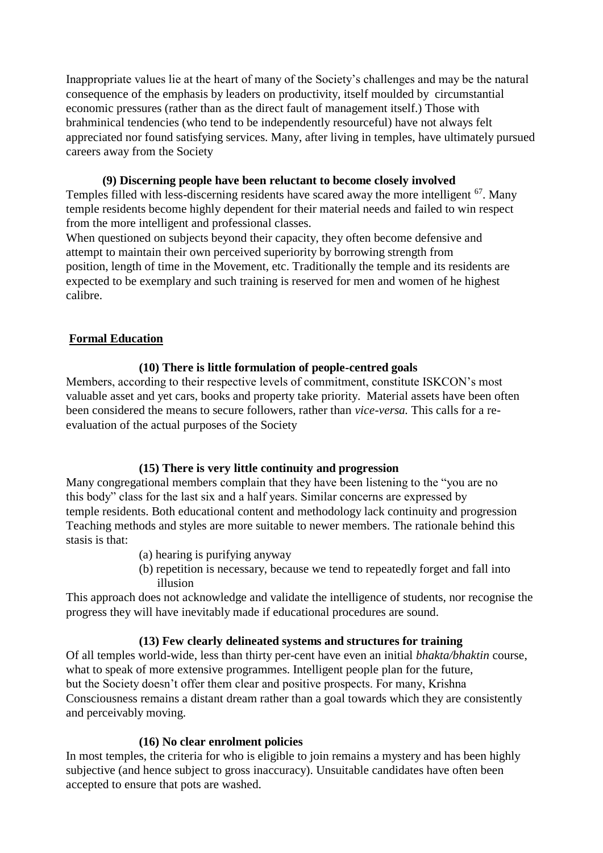Inappropriate values lie at the heart of many of the Society's challenges and may be the natural consequence of the emphasis by leaders on productivity, itself moulded by circumstantial economic pressures (rather than as the direct fault of management itself.) Those with brahminical tendencies (who tend to be independently resourceful) have not always felt appreciated nor found satisfying services. Many, after living in temples, have ultimately pursued careers away from the Society

#### **(9) Discerning people have been reluctant to become closely involved**

Temples filled with less-discerning residents have scared away the more intelligent  $67$ . Many temple residents become highly dependent for their material needs and failed to win respect from the more intelligent and professional classes.

When questioned on subjects beyond their capacity, they often become defensive and attempt to maintain their own perceived superiority by borrowing strength from position, length of time in the Movement, etc. Traditionally the temple and its residents are expected to be exemplary and such training is reserved for men and women of he highest calibre.

#### **Formal Education**

#### **(10) There is little formulation of people-centred goals**

Members, according to their respective levels of commitment, constitute ISKCON's most valuable asset and yet cars, books and property take priority. Material assets have been often been considered the means to secure followers, rather than *vice-versa.* This calls for a reevaluation of the actual purposes of the Society

#### **(15) There is very little continuity and progression**

Many congregational members complain that they have been listening to the "you are no this body" class for the last six and a half years. Similar concerns are expressed by temple residents. Both educational content and methodology lack continuity and progression Teaching methods and styles are more suitable to newer members. The rationale behind this stasis is that:

- (a) hearing is purifying anyway
- (b) repetition is necessary, because we tend to repeatedly forget and fall into illusion

This approach does not acknowledge and validate the intelligence of students, nor recognise the progress they will have inevitably made if educational procedures are sound.

#### **(13) Few clearly delineated systems and structures for training**

Of all temples world-wide, less than thirty per-cent have even an initial *bhakta/bhaktin* course, what to speak of more extensive programmes. Intelligent people plan for the future, but the Society doesn't offer them clear and positive prospects. For many, Krishna Consciousness remains a distant dream rather than a goal towards which they are consistently and perceivably moving.

#### **(16) No clear enrolment policies**

In most temples, the criteria for who is eligible to join remains a mystery and has been highly subjective (and hence subject to gross inaccuracy). Unsuitable candidates have often been accepted to ensure that pots are washed.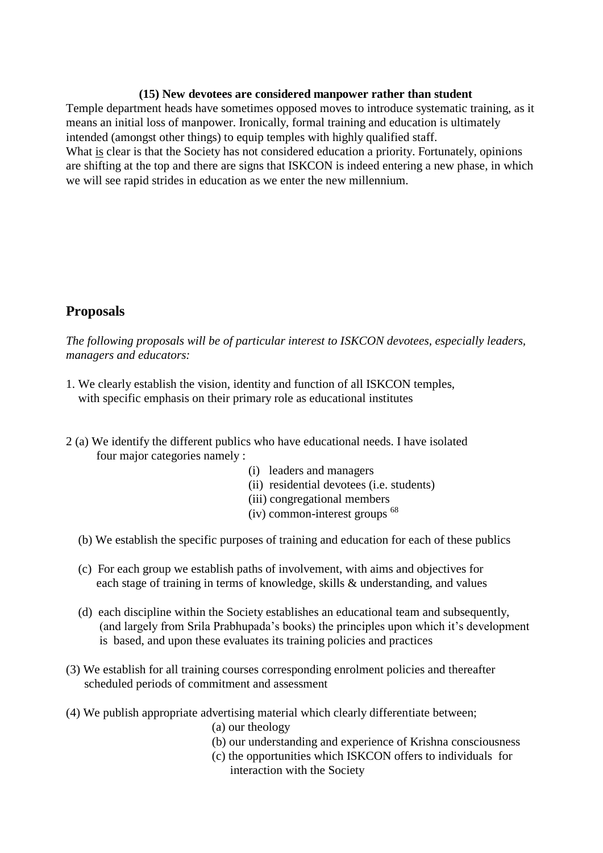#### **(15) New devotees are considered manpower rather than student**

Temple department heads have sometimes opposed moves to introduce systematic training, as it means an initial loss of manpower. Ironically, formal training and education is ultimately intended (amongst other things) to equip temples with highly qualified staff. What is clear is that the Society has not considered education a priority. Fortunately, opinions are shifting at the top and there are signs that ISKCON is indeed entering a new phase, in which we will see rapid strides in education as we enter the new millennium.

## **Proposals**

*The following proposals will be of particular interest to ISKCON devotees, especially leaders, managers and educators:* 

- 1. We clearly establish the vision, identity and function of all ISKCON temples, with specific emphasis on their primary role as educational institutes
- 2 (a) We identify the different publics who have educational needs. I have isolated four major categories namely :
	- (i) leaders and managers
	- (ii) residential devotees (i.e. students)
	- (iii) congregational members
	- $(iv)$  common-interest groups  $^{68}$
	- (b) We establish the specific purposes of training and education for each of these publics
	- (c) For each group we establish paths of involvement, with aims and objectives for each stage of training in terms of knowledge, skills & understanding, and values
	- (d) each discipline within the Society establishes an educational team and subsequently, (and largely from Srila Prabhupada's books) the principles upon which it's development is based, and upon these evaluates its training policies and practices
- (3) We establish for all training courses corresponding enrolment policies and thereafter scheduled periods of commitment and assessment
- (4) We publish appropriate advertising material which clearly differentiate between;
	- (a) our theology
	- (b) our understanding and experience of Krishna consciousness
	- (c) the opportunities which ISKCON offers to individuals for interaction with the Society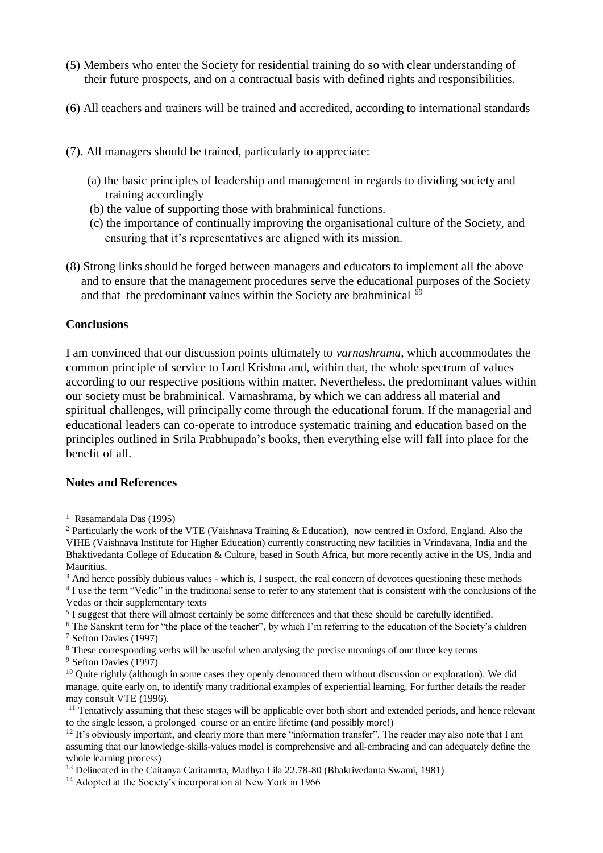- (5) Members who enter the Society for residential training do so with clear understanding of their future prospects, and on a contractual basis with defined rights and responsibilities.
- (6) All teachers and trainers will be trained and accredited, according to international standards
- (7). All managers should be trained, particularly to appreciate:
	- (a) the basic principles of leadership and management in regards to dividing society and training accordingly
	- (b) the value of supporting those with brahminical functions.
	- (c) the importance of continually improving the organisational culture of the Society, and ensuring that it's representatives are aligned with its mission.
- (8) Strong links should be forged between managers and educators to implement all the above and to ensure that the management procedures serve the educational purposes of the Society and that the predominant values within the Society are brahminical  $\hat{69}$

#### **Conclusions**

I am convinced that our discussion points ultimately to *varnashrama*, which accommodates the common principle of service to Lord Krishna and, within that, the whole spectrum of values according to our respective positions within matter. Nevertheless, the predominant values within our society must be brahminical. Varnashrama, by which we can address all material and spiritual challenges, will principally come through the educational forum. If the managerial and educational leaders can co-operate to introduce systematic training and education based on the principles outlined in Srila Prabhupada's books, then everything else will fall into place for the benefit of all.

#### **Notes and References**

<u>.</u>

- <sup>3</sup> And hence possibly dubious values which is, I suspect, the real concern of devotees questioning these methods
- <sup>4</sup> I use the term "Vedic" in the traditional sense to refer to any statement that is consistent with the conclusions of the Vedas or their supplementary texts
- <sup>5</sup> I suggest that there will almost certainly be some differences and that these should be carefully identified.
- <sup>6</sup> The Sanskrit term for "the place of the teacher", by which I'm referring to the education of the Society's children <sup>7</sup> Sefton Davies (1997)
- <sup>8</sup> These corresponding verbs will be useful when analysing the precise meanings of our three key terms
- <sup>9</sup> Sefton Davies (1997)
- $10$  Quite rightly (although in some cases they openly denounced them without discussion or exploration). We did manage, quite early on, to identify many traditional examples of experiential learning. For further details the reader may consult VTE (1996).
- <sup>11</sup> Tentatively assuming that these stages will be applicable over both short and extended periods, and hence relevant to the single lesson, a prolonged course or an entire lifetime (and possibly more!)
- $12$  It's obviously important, and clearly more than mere "information transfer". The reader may also note that I am assuming that our knowledge-skills-values model is comprehensive and all-embracing and can adequately define the whole learning process)
- <sup>13</sup> Delineated in the Caitanya Caritamrta, Madhya Lila 22.78-80 (Bhaktivedanta Swami, 1981)
- <sup>14</sup> Adopted at the Society's incorporation at New York in 1966

<sup>1</sup> Rasamandala Das (1995)

<sup>2</sup> Particularly the work of the VTE (Vaishnava Training & Education), now centred in Oxford, England. Also the VIHE (Vaishnava Institute for Higher Education) currently constructing new facilities in Vrindavana, India and the Bhaktivedanta College of Education & Culture, based in South Africa, but more recently active in the US, India and Mauritius.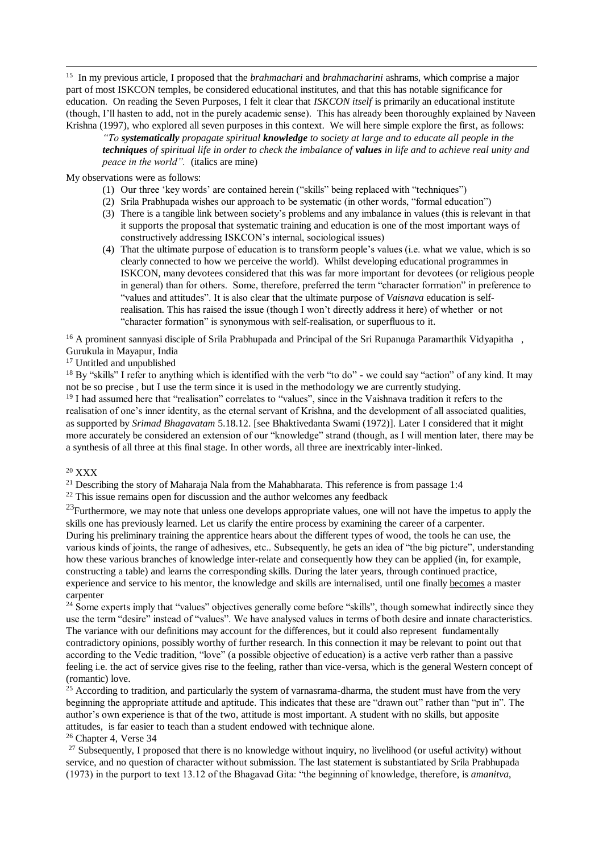15 In my previous article, I proposed that the *brahmachari* and *brahmacharini* ashrams, which comprise a major part of most ISKCON temples, be considered educational institutes, and that this has notable significance for education. On reading the Seven Purposes, I felt it clear that *ISKCON itself* is primarily an educational institute (though, I'll hasten to add, not in the purely academic sense). This has already been thoroughly explained by Naveen Krishna (1997), who explored all seven purposes in this context. We will here simple explore the first, as follows:

*"To systematically propagate spiritual knowledge to society at large and to educate all people in the techniques of spiritual life in order to check the imbalance of values in life and to achieve real unity and peace in the world".* (italics are mine)

My observations were as follows:

1

- (1) Our three 'key words' are contained herein ("skills" being replaced with "techniques")
- (2) Srila Prabhupada wishes our approach to be systematic (in other words, "formal education")
- (3) There is a tangible link between society's problems and any imbalance in values (this is relevant in that it supports the proposal that systematic training and education is one of the most important ways of constructively addressing ISKCON's internal, sociological issues)
- (4) That the ultimate purpose of education is to transform people's values (i.e. what we value, which is so clearly connected to how we perceive the world). Whilst developing educational programmes in ISKCON, many devotees considered that this was far more important for devotees (or religious people in general) than for others. Some, therefore, preferred the term "character formation" in preference to "values and attitudes". It is also clear that the ultimate purpose of *Vaisnava* education is selfrealisation. This has raised the issue (though I won't directly address it here) of whether or not "character formation" is synonymous with self-realisation, or superfluous to it.

<sup>16</sup> A prominent sannyasi disciple of Srila Prabhupada and Principal of the Sri Rupanuga Paramarthik Vidyapitha, Gurukula in Mayapur, India

<sup>17</sup> Untitled and unpublished

 $18$  By "skills" I refer to anything which is identified with the verb "to do" - we could say "action" of any kind. It may not be so precise , but I use the term since it is used in the methodology we are currently studying.

<sup>19</sup> I had assumed here that "realisation" correlates to "values", since in the Vaishnava tradition it refers to the realisation of one's inner identity, as the eternal servant of Krishna, and the development of all associated qualities, as supported by *Srimad Bhagavatam* 5.18.12. [see Bhaktivedanta Swami (1972)]. Later I considered that it might more accurately be considered an extension of our "knowledge" strand (though, as I will mention later, there may be a synthesis of all three at this final stage. In other words, all three are inextricably inter-linked.

#### <sup>20</sup> XXX

<sup>21</sup> Describing the story of Maharaja Nala from the Mahabharata. This reference is from passage 1:4

 $22$  This issue remains open for discussion and the author welcomes any feedback

 $^{23}$ Furthermore, we may note that unless one develops appropriate values, one will not have the impetus to apply the skills one has previously learned. Let us clarify the entire process by examining the career of a carpenter. During his preliminary training the apprentice hears about the different types of wood, the tools he can use, the various kinds of joints, the range of adhesives, etc.. Subsequently, he gets an idea of "the big picture", understanding how these various branches of knowledge inter-relate and consequently how they can be applied (in, for example, constructing a table) and learns the corresponding skills. During the later years, through continued practice, experience and service to his mentor, the knowledge and skills are internalised, until one finally becomes a master carpenter

<sup>24</sup> Some experts imply that "values" objectives generally come before "skills", though somewhat indirectly since they use the term "desire" instead of "values". We have analysed values in terms of both desire and innate characteristics. The variance with our definitions may account for the differences, but it could also represent fundamentally contradictory opinions, possibly worthy of further research. In this connection it may be relevant to point out that according to the Vedic tradition, "love" (a possible objective of education) is a active verb rather than a passive feeling i.e. the act of service gives rise to the feeling, rather than vice-versa, which is the general Western concept of (romantic) love.

<sup>25</sup> According to tradition, and particularly the system of varnasrama-dharma, the student must have from the very beginning the appropriate attitude and aptitude. This indicates that these are "drawn out" rather than "put in". The author's own experience is that of the two, attitude is most important. A student with no skills, but apposite attitudes, is far easier to teach than a student endowed with technique alone.

<sup>26</sup> Chapter 4, Verse 34

 $27$  Subsequently, I proposed that there is no knowledge without inquiry, no livelihood (or useful activity) without service, and no question of character without submission. The last statement is substantiated by Srila Prabhupada (1973) in the purport to text 13.12 of the Bhagavad Gita: "the beginning of knowledge, therefore, is *amanitva*,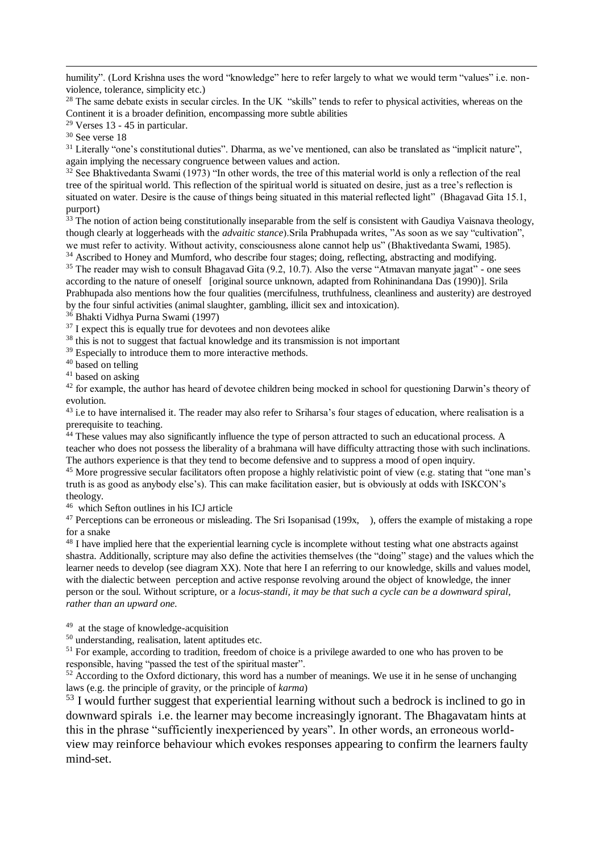humility". (Lord Krishna uses the word "knowledge" here to refer largely to what we would term "values" i.e. nonviolence, tolerance, simplicity etc.)

<sup>28</sup> The same debate exists in secular circles. In the UK "skills" tends to refer to physical activities, whereas on the Continent it is a broader definition, encompassing more subtle abilities

 $29$  Verses 13 - 45 in particular.

<sup>30</sup> See verse 18

1

<sup>31</sup> Literally "one's constitutional duties". Dharma, as we've mentioned, can also be translated as "implicit nature", again implying the necessary congruence between values and action.

<sup>32</sup> See Bhaktivedanta Swami (1973) "In other words, the tree of this material world is only a reflection of the real tree of the spiritual world. This reflection of the spiritual world is situated on desire, just as a tree's reflection is situated on water. Desire is the cause of things being situated in this material reflected light" (Bhagavad Gita 15.1, purport)

 $33$  The notion of action being constitutionally inseparable from the self is consistent with Gaudiya Vaisnava theology, though clearly at loggerheads with the *advaitic stance*).Srila Prabhupada writes, "As soon as we say "cultivation", we must refer to activity. Without activity, consciousness alone cannot help us" (Bhaktivedanta Swami, 1985).

<sup>34</sup> Ascribed to Honey and Mumford, who describe four stages; doing, reflecting, abstracting and modifying.

<sup>35</sup> The reader may wish to consult Bhagavad Gita (9.2, 10.7). Also the verse "Atmavan manyate jagat" - one sees according to the nature of oneself [original source unknown, adapted from Rohininandana Das (1990)]. Srila Prabhupada also mentions how the four qualities (mercifulness, truthfulness, cleanliness and austerity) are destroyed by the four sinful activities (animal slaughter, gambling, illicit sex and intoxication).

<sup>36</sup> Bhakti Vidhya Purna Swami (1997)

 $37$  I expect this is equally true for devotees and non devotees alike

<sup>38</sup> this is not to suggest that factual knowledge and its transmission is not important

<sup>39</sup> Especially to introduce them to more interactive methods.

<sup>40</sup> based on telling

<sup>41</sup> based on asking

<sup>42</sup> for example, the author has heard of devotee children being mocked in school for questioning Darwin's theory of evolution.

<sup>43</sup> i.e to have internalised it. The reader may also refer to Sriharsa's four stages of education, where realisation is a prerequisite to teaching.

 $44$  These values may also significantly influence the type of person attracted to such an educational process. A teacher who does not possess the liberality of a brahmana will have difficulty attracting those with such inclinations. The authors experience is that they tend to become defensive and to suppress a mood of open inquiry.

<sup>45</sup> More progressive secular facilitators often propose a highly relativistic point of view (e.g. stating that "one man's truth is as good as anybody else's). This can make facilitation easier, but is obviously at odds with ISKCON's theology.

46 which Sefton outlines in his ICJ article

<sup>47</sup> Perceptions can be erroneous or misleading. The Sri Isopanisad (199x, ), offers the example of mistaking a rope for a snake

<sup>48</sup> I have implied here that the experiential learning cycle is incomplete without testing what one abstracts against shastra. Additionally, scripture may also define the activities themselves (the "doing" stage) and the values which the learner needs to develop (see diagram XX). Note that here I an referring to our knowledge, skills and values model, with the dialectic between perception and active response revolving around the object of knowledge, the inner person or the soul. Without scripture, or a *locus-standi, it may be that such a cycle can be a downward spiral, rather than an upward one.* 

<sup>49</sup> at the stage of knowledge-acquisition

<sup>50</sup> understanding, realisation, latent aptitudes etc.

<sup>51</sup> For example, according to tradition, freedom of choice is a privilege awarded to one who has proven to be responsible, having "passed the test of the spiritual master".

<sup>52</sup> According to the Oxford dictionary, this word has a number of meanings. We use it in he sense of unchanging laws (e.g. the principle of gravity, or the principle of *karma*)

<sup>53</sup> I would further suggest that experiential learning without such a bedrock is inclined to go in downward spirals i.e. the learner may become increasingly ignorant. The Bhagavatam hints at this in the phrase "sufficiently inexperienced by years". In other words, an erroneous worldview may reinforce behaviour which evokes responses appearing to confirm the learners faulty mind-set.